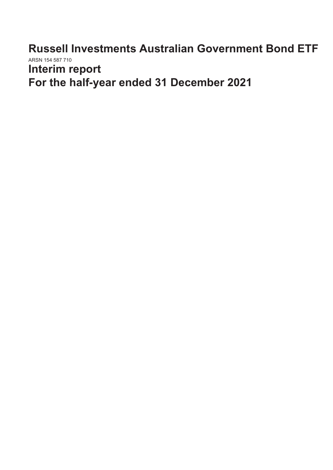**Russell Investments Australian Government Bond ETF** ARSN 154 587 710 **Interim report**

**For the half-year ended 31 December 2021**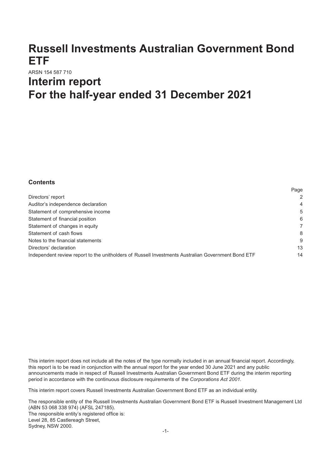# **Russell Investments Australian Government Bond ETF**

# ARSN 154 587 710 **Interim report For the half-year ended 31 December 2021**

# **Contents**

|                                                                                                    | r aye          |
|----------------------------------------------------------------------------------------------------|----------------|
| Directors' report                                                                                  | 2              |
| Auditor's independence declaration                                                                 | $\overline{4}$ |
| Statement of comprehensive income                                                                  | 5              |
| Statement of financial position                                                                    | 6              |
| Statement of changes in equity                                                                     |                |
| Statement of cash flows                                                                            | 8              |
| Notes to the financial statements                                                                  | 9              |
| Directors' declaration                                                                             | 13             |
| Independent review report to the unitholders of Russell Investments Australian Government Bond ETF | 14             |
|                                                                                                    |                |

Page

This interim report does not include all the notes of the type normally included in an annual financial report. Accordingly, this report is to be read in conjunction with the annual report for the year ended 30 June 2021 and any public announcements made in respect of Russell Investments Australian Government Bond ETF during the interim reporting period in accordance with the continuous disclosure requirements of the *Corporations Act 2001.*

This interim report covers Russell Investments Australian Government Bond ETF as an individual entity.

The responsible entity of the Russell Investments Australian Government Bond ETF is Russell Investment Management Ltd (ABN 53 068 338 974) (AFSL 247185). The responsible entity's registered office is: Level 28, 85 Castlereagh Street, Sydney, NSW 2000.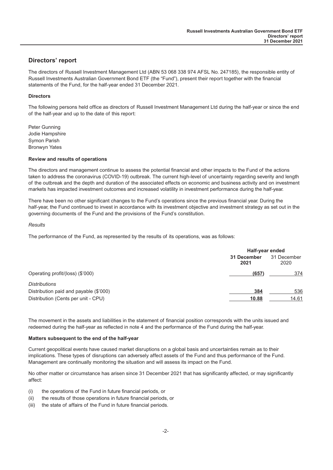## <span id="page-2-0"></span>**Directors' report**

The directors of Russell Investment Management Ltd (ABN 53 068 338 974 AFSL No. 247185), the responsible entity of Russell Investments Australian Government Bond ETF (the "Fund"), present their report together with the financial statements of the Fund, for the half-year ended 31 December 2021.

#### **Directors**

The following persons held office as directors of Russell Investment Management Ltd during the half-year or since the end of the half-year and up to the date of this report:

Peter Gunning Jodie Hampshire Symon Parish Bronwyn Yates

#### **Review and results of operations**

The directors and management continue to assess the potential financial and other impacts to the Fund of the actions taken to address the coronavirus (COVID-19) outbreak. The current high-level of uncertainty regarding severity and length of the outbreak and the depth and duration of the associated effects on economic and business activity and on investment markets has impacted investment outcomes and increased volatility in investment performance during the half-year.

There have been no other significant changes to the Fund's operations since the previous financial year. During the half-year, the Fund continued to invest in accordance with its investment objective and investment strategy as set out in the governing documents of the Fund and the provisions of the Fund's constitution.

#### *Results*

The performance of the Fund, as represented by the results of its operations, was as follows:

|                                        | Half-year ended     |                     |
|----------------------------------------|---------------------|---------------------|
|                                        | 31 December<br>2021 | 31 December<br>2020 |
| Operating profit/(loss) (\$'000)       | (657)               | 374                 |
| <b>Distributions</b>                   |                     |                     |
| Distribution paid and payable (\$'000) | 384                 | 536                 |
| Distribution (Cents per unit - CPU)    | 10.88               | 14.61               |

The movement in the assets and liabilities in the statement of financial position corresponds with the units issued and redeemed during the half-year as reflected in note 4 and the performance of the Fund during the half-year.

#### **Matters subsequent to the end of the half-year**

Current geopolitical events have caused market disruptions on a global basis and uncertainties remain as to their implications. These types of disruptions can adversely affect assets of the Fund and thus performance of the Fund. Management are continually monitoring the situation and will assess its impact on the Fund.

No other matter or circumstance has arisen since 31 December 2021 that has significantly affected, or may significantly affect:

- (i) the operations of the Fund in future financial periods, or
- (ii) the results of those operations in future financial periods, or
- (iii) the state of affairs of the Fund in future financial periods.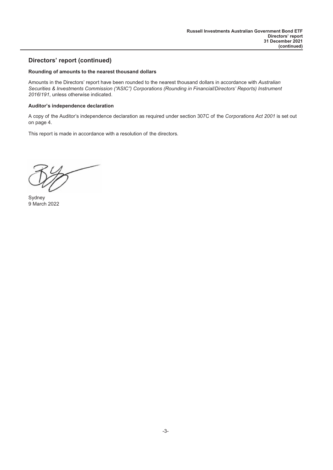# **Directors' report (continued)**

#### **Rounding of amounts to the nearest thousand dollars**

Amounts in the Directors' report have been rounded to the nearest thousand dollars in accordance with *Australian Securities & Investments Commission ("ASIC") Corporations (Rounding in Financial/Directors' Reports) Instrument 2016/191*, unless otherwise indicated.

#### **Auditor's independence declaration**

A copy of the Auditor's independence declaration as required under section 307C of the *Corporations Act 2001* is set out on page 4.

This report is made in accordance with a resolution of the directors.

 $-\nu$ 

Sydney 9 March 2022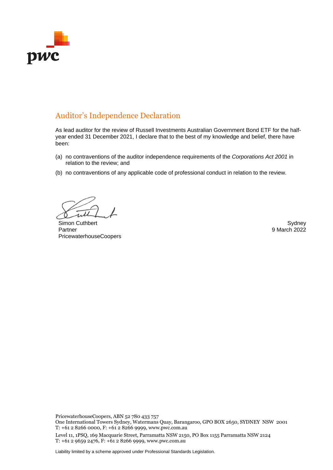

# Auditor's Independence Declaration

As lead auditor for the review of Russell Investments Australian Government Bond ETF for the halfyear ended 31 December 2021, I declare that to the best of my knowledge and belief, there have been:

- (a) no contraventions of the auditor independence requirements of the *Corporations Act 2001* in relation to the review; and
- (b) no contraventions of any applicable code of professional conduct in relation to the review.

Simon Cuthbert Sydney and Sydney Sydney Sydney Sydney Sydney Sydney Sydney Sydney Sydney Sydney Sydney Sydney Partner PricewaterhouseCoopers

9 March 2022

PricewaterhouseCoopers, ABN 52 780 433 757

One International Towers Sydney, Watermans Quay, Barangaroo, GPO BOX 2650, SYDNEY NSW 2001 T: +61 2 8266 0000, F: +61 2 8266 9999, www.pwc.com.au

Level 11, 1PSQ, 169 Macquarie Street, Parramatta NSW 2150, PO Box 1155 Parramatta NSW 2124 T: +61 2 9659 2476, F: +61 2 8266 9999, www.pwc.com.au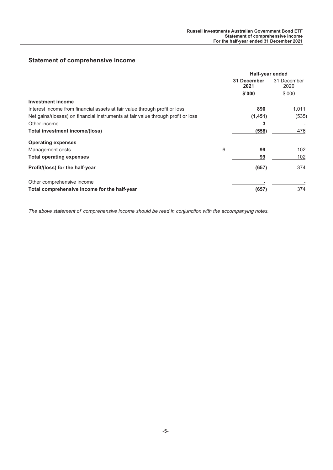# <span id="page-5-0"></span>**Statement of comprehensive income**

|                                                                                  |   | Half-year ended     |                     |
|----------------------------------------------------------------------------------|---|---------------------|---------------------|
|                                                                                  |   | 31 December<br>2021 | 31 December<br>2020 |
|                                                                                  |   | \$'000              | \$'000              |
| Investment income                                                                |   |                     |                     |
| Interest income from financial assets at fair value through profit or loss       |   | 890                 | 1,011               |
| Net gains/(losses) on financial instruments at fair value through profit or loss |   | (1, 451)            | (535)               |
| Other income                                                                     |   |                     |                     |
| Total investment income/(loss)                                                   |   | (558)               | 476                 |
| <b>Operating expenses</b>                                                        |   |                     |                     |
| Management costs                                                                 | 6 | 99                  | 102                 |
| <b>Total operating expenses</b>                                                  |   | 99                  | 102                 |
| Profit/(loss) for the half-year                                                  |   | (657)               | 374                 |
| Other comprehensive income                                                       |   |                     |                     |
| Total comprehensive income for the half-year                                     |   | (657)               | 374                 |

*The above statement of comprehensive income should be read in conjunction with the accompanying notes.*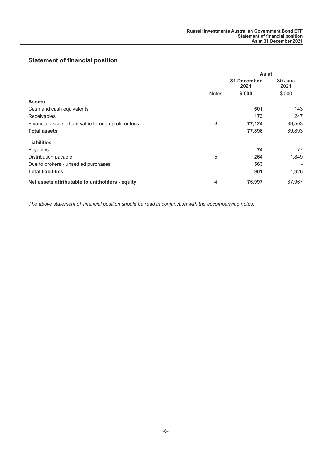# <span id="page-6-0"></span>**Statement of financial position**

|                                                       | As at        |                     |                 |
|-------------------------------------------------------|--------------|---------------------|-----------------|
|                                                       |              | 31 December<br>2021 | 30 June<br>2021 |
|                                                       | <b>Notes</b> | \$'000              | \$'000          |
| <b>Assets</b>                                         |              |                     |                 |
| Cash and cash equivalents                             |              | 601                 | 143             |
| <b>Receivables</b>                                    |              | 173                 | 247             |
| Financial assets at fair value through profit or loss | 3            | 77,124              | 89,503          |
| <b>Total assets</b>                                   |              | 77,898              | 89,893          |
| <b>Liabilities</b>                                    |              |                     |                 |
| Payables                                              |              | 74                  | 77              |
| Distribution payable                                  | 5            | 264                 | 1,849           |
| Due to brokers - unsettled purchases                  |              | 563                 |                 |
| <b>Total liabilities</b>                              |              | 901                 | 1,926           |
| Net assets attributable to unitholders - equity       | 4            | 76,997              | 87,967          |

*The above statement of financial position should be read in conjunction with the accompanying notes.*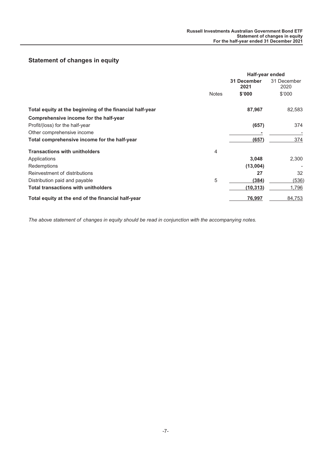# <span id="page-7-0"></span>**Statement of changes in equity**

|                                                          | <b>Half-year ended</b> |                     |                     |
|----------------------------------------------------------|------------------------|---------------------|---------------------|
|                                                          |                        | 31 December<br>2021 | 31 December<br>2020 |
|                                                          | <b>Notes</b>           | \$'000              | \$'000              |
| Total equity at the beginning of the financial half-year |                        | 87,967              | 82,583              |
| Comprehensive income for the half-year                   |                        |                     |                     |
| Profit/(loss) for the half-year                          |                        | (657)               | 374                 |
| Other comprehensive income                               |                        |                     |                     |
| Total comprehensive income for the half-year             |                        | (657)               | 374                 |
| <b>Transactions with unitholders</b>                     | 4                      |                     |                     |
| Applications                                             |                        | 3,048               | 2,300               |
| Redemptions                                              |                        | (13,004)            |                     |
| Reinvestment of distributions                            |                        | 27                  | 32                  |
| Distribution paid and payable                            | 5                      | (384)               | (536)               |
| <b>Total transactions with unitholders</b>               |                        | (10, 313)           | 1,796               |
| Total equity at the end of the financial half-year       |                        | 76,997              | 84,753              |

*The above statement of changes in equity should be read in conjunction with the accompanying notes.*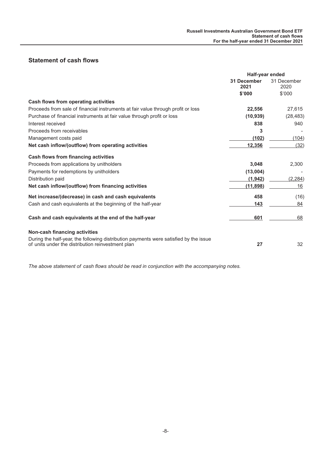# <span id="page-8-0"></span>**Statement of cash flows**

|                                                                                                                                            | Half-year ended     |                     |
|--------------------------------------------------------------------------------------------------------------------------------------------|---------------------|---------------------|
|                                                                                                                                            | 31 December<br>2021 | 31 December<br>2020 |
|                                                                                                                                            | \$'000              | \$'000              |
| Cash flows from operating activities                                                                                                       |                     |                     |
| Proceeds from sale of financial instruments at fair value through profit or loss                                                           | 22,556              | 27,615              |
| Purchase of financial instruments at fair value through profit or loss                                                                     | (10, 939)           | (28, 483)           |
| Interest received                                                                                                                          | 838                 | 940                 |
| Proceeds from receivables                                                                                                                  | 3                   |                     |
| Management costs paid                                                                                                                      | (102)               | (104)               |
| Net cash inflow/(outflow) from operating activities                                                                                        | 12,356              | (32)                |
| <b>Cash flows from financing activities</b>                                                                                                |                     |                     |
| Proceeds from applications by unitholders                                                                                                  | 3,048               | 2,300               |
| Payments for redemptions by unitholders                                                                                                    | (13,004)            |                     |
| Distribution paid                                                                                                                          | (1, 942)            | (2, 284)            |
| Net cash inflow/(outflow) from financing activities                                                                                        | (11, 898)           | 16                  |
| Net increase/(decrease) in cash and cash equivalents                                                                                       | 458                 | (16)                |
| Cash and cash equivalents at the beginning of the half-year                                                                                | 143                 | 84                  |
| Cash and cash equivalents at the end of the half-year                                                                                      | 601                 | 68                  |
| Non-cash financing activities                                                                                                              |                     |                     |
| During the half-year, the following distribution payments were satisfied by the issue<br>of units under the distribution reinvestment plan | 27                  | 32                  |

*The above statement of cash flows should be read in conjunction with the accompanying notes.*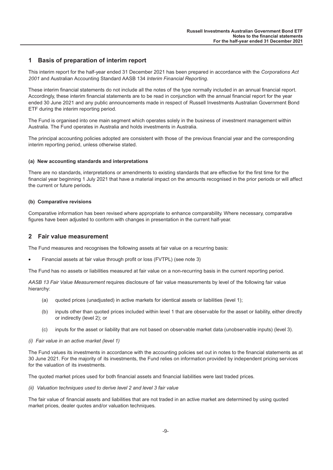#### <span id="page-9-0"></span>**1 Basis of preparation of interim report**

This interim report for the half-year ended 31 December 2021 has been prepared in accordance with the *Corporations Act 2001* and Australian Accounting Standard AASB 134 *Interim Financial Reporting*.

These interim financial statements do not include all the notes of the type normally included in an annual financial report. Accordingly, these interim financial statements are to be read in conjunction with the annual financial report for the year ended 30 June 2021 and any public announcements made in respect of Russell Investments Australian Government Bond ETF during the interim reporting period.

The Fund is organised into one main segment which operates solely in the business of investment management within Australia. The Fund operates in Australia and holds investments in Australia.

The principal accounting policies adopted are consistent with those of the previous financial year and the corresponding interim reporting period, unless otherwise stated.

#### **(a) New accounting standards and interpretations**

There are no standards, interpretations or amendments to existing standards that are effective for the first time for the financial year beginning 1 July 2021 that have a material impact on the amounts recognised in the prior periods or will affect the current or future periods.

#### **(b) Comparative revisions**

Comparative information has been revised where appropriate to enhance comparability. Where necessary, comparative figures have been adjusted to conform with changes in presentation in the current half-year.

#### **2 Fair value measurement**

The Fund measures and recognises the following assets at fair value on a recurring basis:

• Financial assets at fair value through profit or loss (FVTPL) (see note 3)

The Fund has no assets or liabilities measured at fair value on a non-recurring basis in the current reporting period.

*AASB 13 Fair Value Measurement* requires disclosure of fair value measurements by level of the following fair value hierarchy:

- (a) quoted prices (unadjusted) in active markets for identical assets or liabilities (level 1);
- (b) inputs other than quoted prices included within level 1 that are observable for the asset or liability, either directly or indirectly (level 2); or
- (c) inputs for the asset or liability that are not based on observable market data (unobservable inputs) (level 3).

#### *(i) Fair value in an active market (level 1)*

The Fund values its investments in accordance with the accounting policies set out in notes to the financial statements as at 30 June 2021. For the majority of its investments, the Fund relies on information provided by independent pricing services for the valuation of its investments.

The quoted market prices used for both financial assets and financial liabilities were last traded prices.

*(ii) Valuation techniques used to derive level 2 and level 3 fair value*

The fair value of financial assets and liabilities that are not traded in an active market are determined by using quoted market prices, dealer quotes and/or valuation techniques.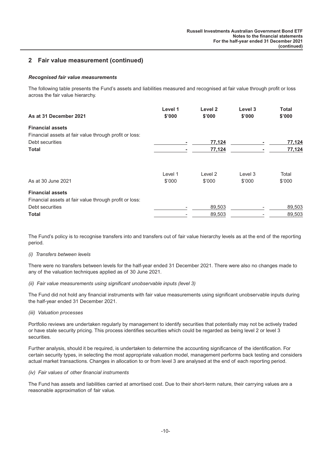## **2 Fair value measurement (continued)**

#### *Recognised fair value measurements*

The following table presents the Fund's assets and liabilities measured and recognised at fair value through profit or loss across the fair value hierarchy.

| As at 31 December 2021                                 | Level 1<br>\$'000 | Level <sub>2</sub><br>\$'000 | Level 3<br>\$'000 | <b>Total</b><br>\$'000 |
|--------------------------------------------------------|-------------------|------------------------------|-------------------|------------------------|
| <b>Financial assets</b>                                |                   |                              |                   |                        |
| Financial assets at fair value through profit or loss: |                   |                              |                   |                        |
| Debt securities                                        |                   | 77,124                       |                   | 77,124                 |
| <b>Total</b>                                           |                   | 77,124                       |                   | 77,124                 |
|                                                        | Level 1           | Level 2                      | Level 3           | Total                  |
| As at 30 June 2021                                     | \$'000            | \$'000                       | \$'000            | \$'000                 |
| <b>Financial assets</b>                                |                   |                              |                   |                        |
| Financial assets at fair value through profit or loss: |                   |                              |                   |                        |
| Debt securities                                        |                   | 89,503                       |                   | 89,503                 |
| Total                                                  |                   | 89,503                       |                   | 89,503                 |

The Fund's policy is to recognise transfers into and transfers out of fair value hierarchy levels as at the end of the reporting period.

#### *(i) Transfers between levels*

There were no transfers between levels for the half-year ended 31 December 2021. There were also no changes made to any of the valuation techniques applied as of 30 June 2021.

#### *(ii) Fair value measurements using significant unobservable inputs (level 3)*

The Fund did not hold any financial instruments with fair value measurements using significant unobservable inputs during the half-year ended 31 December 2021.

*(iii) Valuation processes*

Portfolio reviews are undertaken regularly by management to identify securities that potentially may not be actively traded or have stale security pricing. This process identifies securities which could be regarded as being level 2 or level 3 securities.

Further analysis, should it be required, is undertaken to determine the accounting significance of the identification. For certain security types, in selecting the most appropriate valuation model, management performs back testing and considers actual market transactions. Changes in allocation to or from level 3 are analysed at the end of each reporting period.

#### *(iv) Fair values of other financial instruments*

The Fund has assets and liabilities carried at amortised cost. Due to their short-term nature, their carrying values are a reasonable approximation of fair value.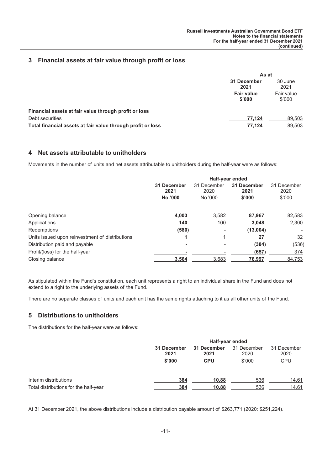## **3 Financial assets at fair value through profit or loss**

|                                                             | As at                       |                      |
|-------------------------------------------------------------|-----------------------------|----------------------|
|                                                             | 31 December<br>2021         | 30 June<br>2021      |
|                                                             | <b>Fair value</b><br>\$'000 | Fair value<br>\$'000 |
| Financial assets at fair value through profit or loss       |                             |                      |
| Debt securities                                             | 77.124                      | 89,503               |
| Total financial assets at fair value through profit or loss | 77.124                      | 89,503               |

#### **4 Net assets attributable to unitholders**

Movements in the number of units and net assets attributable to unitholders during the half-year were as follows:

|                                                 | Half-year ended                |                                |                               |                               |
|-------------------------------------------------|--------------------------------|--------------------------------|-------------------------------|-------------------------------|
|                                                 | 31 December<br>2021<br>No.'000 | 31 December<br>2020<br>No.'000 | 31 December<br>2021<br>\$'000 | 31 December<br>2020<br>\$'000 |
| Opening balance                                 | 4,003                          | 3,582                          | 87,967                        | 82,583                        |
| Applications                                    | 140                            | 100                            | 3.048                         | 2.300                         |
| Redemptions                                     | (580)                          | ۰                              | (13,004)                      | $\overline{\phantom{a}}$      |
| Units issued upon reinvestment of distributions | 1                              |                                | 27                            | 32                            |
| Distribution paid and payable                   | ۰                              | ۰                              | (384)                         | (536)                         |
| Profit/(loss) for the half-year                 |                                |                                | (657)                         | 374                           |
| Closing balance                                 | 3,564                          | 3,683                          | 76,997                        | 84,753                        |

As stipulated within the Fund's constitution, each unit represents a right to an individual share in the Fund and does not extend to a right to the underlying assets of the Fund.

There are no separate classes of units and each unit has the same rights attaching to it as all other units of the Fund.

## **5 Distributions to unitholders**

The distributions for the half-year were as follows:

|                                       |                     | Half-year ended     |                     |                     |
|---------------------------------------|---------------------|---------------------|---------------------|---------------------|
|                                       | 31 December<br>2021 | 31 December<br>2021 | 31 December<br>2020 | 31 December<br>2020 |
|                                       | \$'000              | <b>CPU</b>          | \$'000              | <b>CPU</b>          |
| Interim distributions                 | 384                 | 10.88               | 536                 | 14.61               |
| Total distributions for the half-year | 384                 | 10.88               | 536                 | 14.61               |

At 31 December 2021, the above distributions include a distribution payable amount of \$263,771 (2020: \$251,224).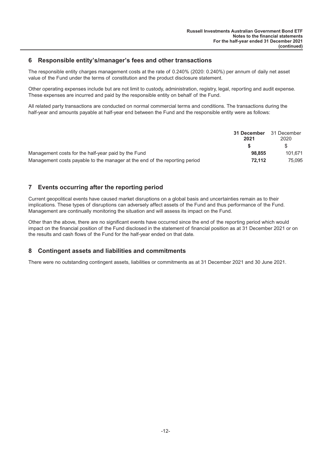#### **6 Responsible entity's/manager's fees and other transactions**

The responsible entity charges management costs at the rate of 0.240% (2020: 0.240%) per annum of daily net asset value of the Fund under the terms of constitution and the product disclosure statement.

Other operating expenses include but are not limit to custody, administration, registry, legal, reporting and audit expense. These expenses are incurred and paid by the responsible entity on behalf of the Fund.

All related party transactions are conducted on normal commercial terms and conditions. The transactions during the half-year and amounts payable at half-year end between the Fund and the responsible entity were as follows:

|                                                                            | 31 December<br>2021 | 31 December<br>2020 |
|----------------------------------------------------------------------------|---------------------|---------------------|
|                                                                            |                     |                     |
| Management costs for the half-year paid by the Fund                        | 98.855              | 101.671             |
| Management costs payable to the manager at the end of the reporting period | 72.112              | 75.095              |

## **7 Events occurring after the reporting period**

Current geopolitical events have caused market disruptions on a global basis and uncertainties remain as to their implications. These types of disruptions can adversely affect assets of the Fund and thus performance of the Fund. Management are continually monitoring the situation and will assess its impact on the Fund.

Other than the above, there are no significant events have occurred since the end of the reporting period which would impact on the financial position of the Fund disclosed in the statement of financial position as at 31 December 2021 or on the results and cash flows of the Fund for the half-year ended on that date.

#### **8 Contingent assets and liabilities and commitments**

There were no outstanding contingent assets, liabilities or commitments as at 31 December 2021 and 30 June 2021.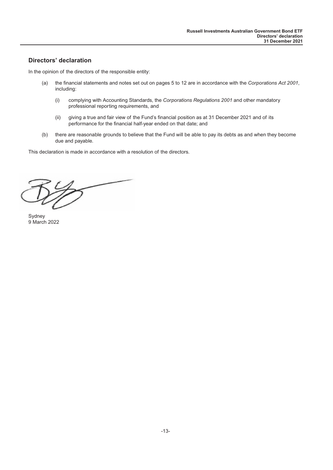## <span id="page-13-0"></span>**Directors' declaration**

In the opinion of the directors of the responsible entity:

- (a) the financial statements and notes set out on pages 5 to 12 are in accordance with the *Corporations Act 2001*, including:
	- (i) complying with Accounting Standards, the *Corporations Regulations 2001* and other mandatory professional reporting requirements, and
	- (ii) giving a true and fair view of the Fund's financial position as at 31 December 2021 and of its performance for the financial half-year ended on that date; and
- (b) there are reasonable grounds to believe that the Fund will be able to pay its debts as and when they become due and payable.

This declaration is made in accordance with a resolution of the directors.

 $\overline{\phantom{a}}$ 

Sydney 9 March 2022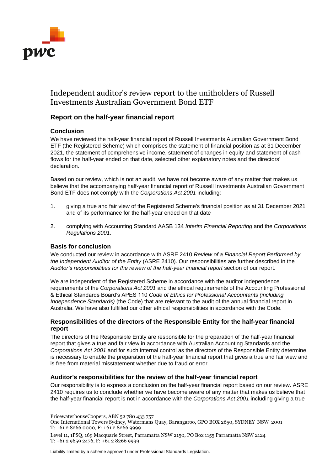

# Independent auditor's review report to the unitholders of Russell Investments Australian Government Bond ETF

# **Report on the half-year financial report**

# **Conclusion**

We have reviewed the half-year financial report of Russell Investments Australian Government Bond ETF (the Registered Scheme) which comprises the statement of financial position as at 31 December 2021, the statement of comprehensive income, statement of changes in equity and statement of cash flows for the half-year ended on that date, selected other explanatory notes and the directors' declaration.

Based on our review, which is not an audit, we have not become aware of any matter that makes us believe that the accompanying half-year financial report of Russell Investments Australian Government Bond ETF does not comply with the *Corporations Act 2001* including:

- 1. giving a true and fair view of the Registered Scheme's financial position as at 31 December 2021 and of its performance for the half-year ended on that date
- 2. complying with Accounting Standard AASB 134 *Interim Financial Reporting* and the *Corporations Regulations 2001*.

#### **Basis for conclusion**

We conducted our review in accordance with ASRE 2410 *Review of a Financial Report Performed by the Independent Auditor of the Entity* (ASRE 2410). Our responsibilities are further described in the *Auditor's responsibilities for the review of the half-year financial report* section of our report.

We are independent of the Registered Scheme in accordance with the auditor independence requirements of the *Corporations Act 2001* and the ethical requirements of the Accounting Professional & Ethical Standards Board's APES 110 *Code of Ethics for Professional Accountants (including Independence Standards)* (the Code) that are relevant to the audit of the annual financial report in Australia. We have also fulfilled our other ethical responsibilities in accordance with the Code.

## **Responsibilities of the directors of the Responsible Entity for the half-year financial report**

The directors of the Responsible Entity are responsible for the preparation of the half-year financial report that gives a true and fair view in accordance with Australian Accounting Standards and the *Corporations Act 2001* and for such internal control as the directors of the Responsible Entity determine is necessary to enable the preparation of the half-year financial report that gives a true and fair view and is free from material misstatement whether due to fraud or error.

#### **Auditor's responsibilities for the review of the half-year financial report**

Our responsibility is to express a conclusion on the half-year financial report based on our review. ASRE 2410 requires us to conclude whether we have become aware of any matter that makes us believe that the half-year financial report is not in accordance with the *Corporations Act 2001* including giving a true

PricewaterhouseCoopers, ABN 52 780 433 757

One International Towers Sydney, Watermans Quay, Barangaroo, GPO BOX 2650, SYDNEY NSW 2001 T: +61 2 8266 0000, F: +61 2 8266 9999

Level 11, 1PSQ, 169 Macquarie Street, Parramatta NSW 2150, PO Box 1155 Parramatta NSW 2124 T: +61 2 9659 2476, F: +61 2 8266 9999

Liability limited by a scheme approved under Professional Standards Legislation.